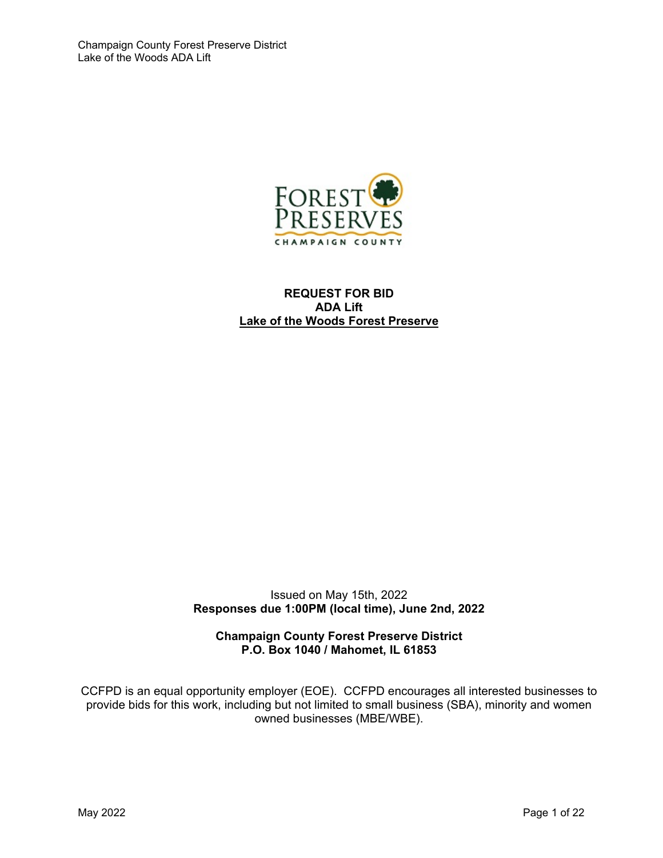

#### **REQUEST FOR BID ADA Lift Lake of the Woods Forest Preserve**

Issued on May 15th, 2022 **Responses due 1:00PM (local time), June 2nd, 2022** 

**Champaign County Forest Preserve District P.O. Box 1040 / Mahomet, IL 61853** 

CCFPD is an equal opportunity employer (EOE). CCFPD encourages all interested businesses to provide bids for this work, including but not limited to small business (SBA), minority and women owned businesses (MBE/WBE).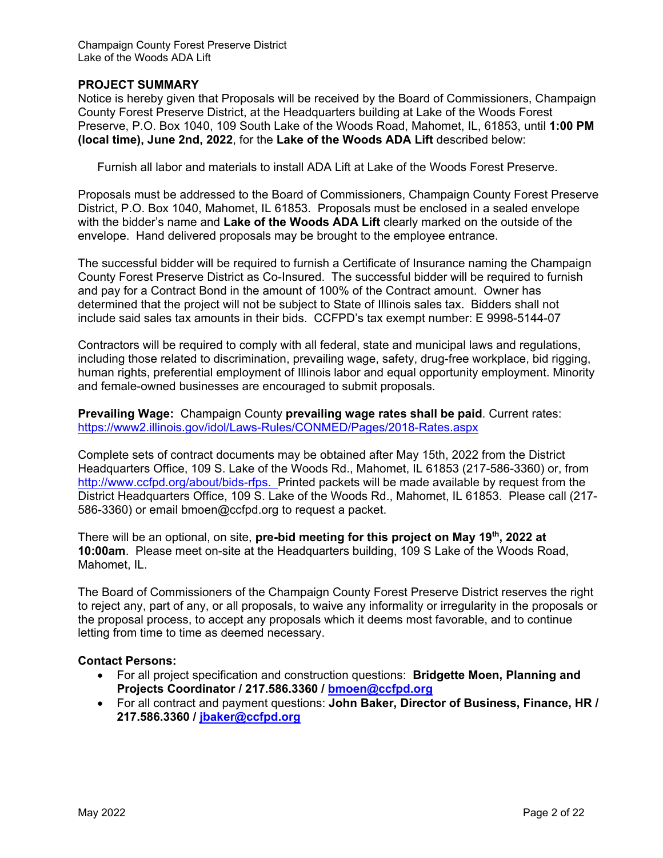#### **PROJECT SUMMARY**

Notice is hereby given that Proposals will be received by the Board of Commissioners, Champaign County Forest Preserve District, at the Headquarters building at Lake of the Woods Forest Preserve, P.O. Box 1040, 109 South Lake of the Woods Road, Mahomet, IL, 61853, until **1:00 PM (local time), June 2nd, 2022**, for the **Lake of the Woods ADA Lift** described below:

Furnish all labor and materials to install ADA Lift at Lake of the Woods Forest Preserve.

Proposals must be addressed to the Board of Commissioners, Champaign County Forest Preserve District, P.O. Box 1040, Mahomet, IL 61853. Proposals must be enclosed in a sealed envelope with the bidder's name and **Lake of the Woods ADA Lift** clearly marked on the outside of the envelope. Hand delivered proposals may be brought to the employee entrance.

The successful bidder will be required to furnish a Certificate of Insurance naming the Champaign County Forest Preserve District as Co-Insured. The successful bidder will be required to furnish and pay for a Contract Bond in the amount of 100% of the Contract amount. Owner has determined that the project will not be subject to State of Illinois sales tax. Bidders shall not include said sales tax amounts in their bids. CCFPD's tax exempt number: E 9998-5144-07

Contractors will be required to comply with all federal, state and municipal laws and regulations, including those related to discrimination, prevailing wage, safety, drug-free workplace, bid rigging, human rights, preferential employment of Illinois labor and equal opportunity employment. Minority and female-owned businesses are encouraged to submit proposals.

**Prevailing Wage:** Champaign County **prevailing wage rates shall be paid**. Current rates: https://www2.illinois.gov/idol/Laws-Rules/CONMED/Pages/2018-Rates.aspx

Complete sets of contract documents may be obtained after May 15th, 2022 from the District Headquarters Office, 109 S. Lake of the Woods Rd., Mahomet, IL 61853 (217-586-3360) or, from http://www.ccfpd.org/about/bids-rfps. Printed packets will be made available by request from the District Headquarters Office, 109 S. Lake of the Woods Rd., Mahomet, IL 61853. Please call (217- 586-3360) or email bmoen@ccfpd.org to request a packet.

There will be an optional, on site, **pre-bid meeting for this project on May 19th, 2022 at 10:00am**. Please meet on-site at the Headquarters building, 109 S Lake of the Woods Road, Mahomet, IL.

The Board of Commissioners of the Champaign County Forest Preserve District reserves the right to reject any, part of any, or all proposals, to waive any informality or irregularity in the proposals or the proposal process, to accept any proposals which it deems most favorable, and to continue letting from time to time as deemed necessary.

#### **Contact Persons:**

- For all project specification and construction questions: **Bridgette Moen, Planning and Projects Coordinator / 217.586.3360 / bmoen@ccfpd.org**
- For all contract and payment questions: **John Baker, Director of Business, Finance, HR / 217.586.3360 / jbaker@ccfpd.org**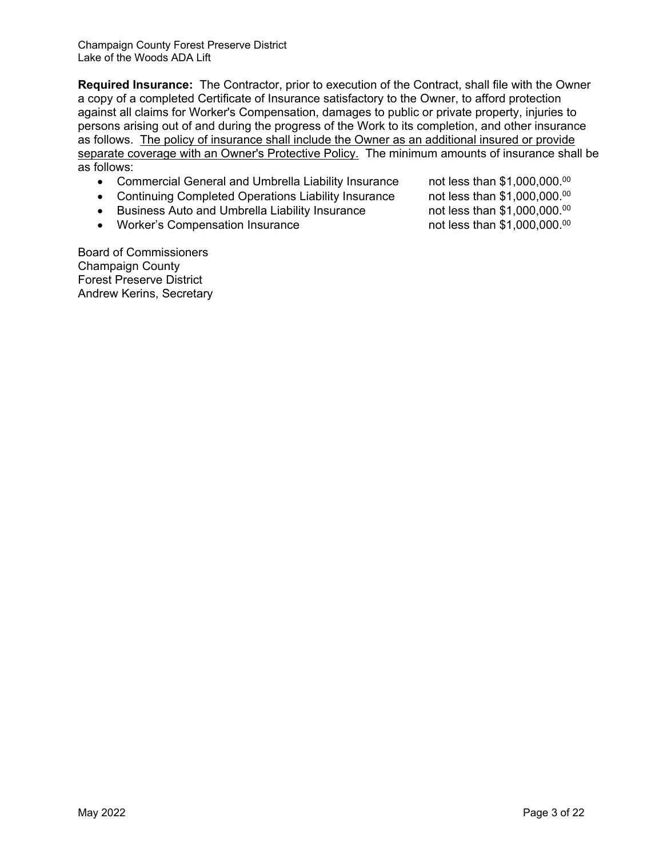**Required Insurance:** The Contractor, prior to execution of the Contract, shall file with the Owner a copy of a completed Certificate of Insurance satisfactory to the Owner, to afford protection against all claims for Worker's Compensation, damages to public or private property, injuries to persons arising out of and during the progress of the Work to its completion, and other insurance as follows. The policy of insurance shall include the Owner as an additional insured or provide separate coverage with an Owner's Protective Policy. The minimum amounts of insurance shall be as follows:

- Commercial General and Umbrella Liability Insurance not less than \$1,000,000.<sup>00</sup>
- Continuing Completed Operations Liability Insurance not less than \$1,000,000.00
- Business Auto and Umbrella Liability Insurance not less than \$1,000,000.00
- Worker's Compensation Insurance  $\blacksquare$  not less than \$1,000,000.00

Board of Commissioners Champaign County Forest Preserve District Andrew Kerins, Secretary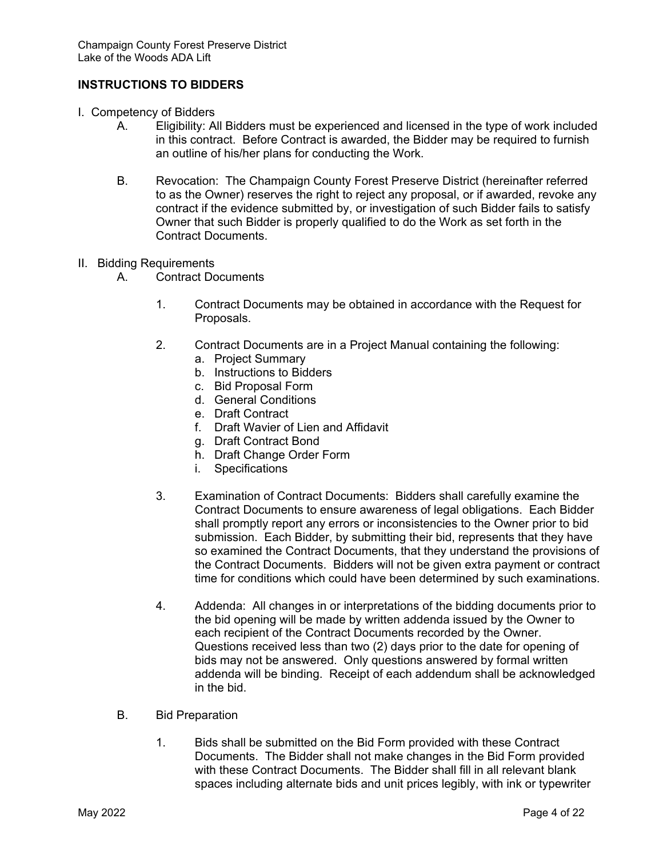#### **INSTRUCTIONS TO BIDDERS**

- I. Competency of Bidders
	- A. Eligibility: All Bidders must be experienced and licensed in the type of work included in this contract. Before Contract is awarded, the Bidder may be required to furnish an outline of his/her plans for conducting the Work.
	- B. Revocation: The Champaign County Forest Preserve District (hereinafter referred to as the Owner) reserves the right to reject any proposal, or if awarded, revoke any contract if the evidence submitted by, or investigation of such Bidder fails to satisfy Owner that such Bidder is properly qualified to do the Work as set forth in the Contract Documents.
- II. Bidding Requirements
	- A. Contract Documents
		- 1. Contract Documents may be obtained in accordance with the Request for Proposals.
		- 2. Contract Documents are in a Project Manual containing the following:
			- a. Project Summary
			- b. Instructions to Bidders
			- c. Bid Proposal Form
			- d. General Conditions
			- e. Draft Contract
			- f. Draft Wavier of Lien and Affidavit
			- g. Draft Contract Bond
			- h. Draft Change Order Form
			- i. Specifications
		- 3. Examination of Contract Documents: Bidders shall carefully examine the Contract Documents to ensure awareness of legal obligations. Each Bidder shall promptly report any errors or inconsistencies to the Owner prior to bid submission. Each Bidder, by submitting their bid, represents that they have so examined the Contract Documents, that they understand the provisions of the Contract Documents. Bidders will not be given extra payment or contract time for conditions which could have been determined by such examinations.
		- 4. Addenda: All changes in or interpretations of the bidding documents prior to the bid opening will be made by written addenda issued by the Owner to each recipient of the Contract Documents recorded by the Owner. Questions received less than two (2) days prior to the date for opening of bids may not be answered. Only questions answered by formal written addenda will be binding. Receipt of each addendum shall be acknowledged in the bid.
	- B. Bid Preparation
		- 1. Bids shall be submitted on the Bid Form provided with these Contract Documents. The Bidder shall not make changes in the Bid Form provided with these Contract Documents. The Bidder shall fill in all relevant blank spaces including alternate bids and unit prices legibly, with ink or typewriter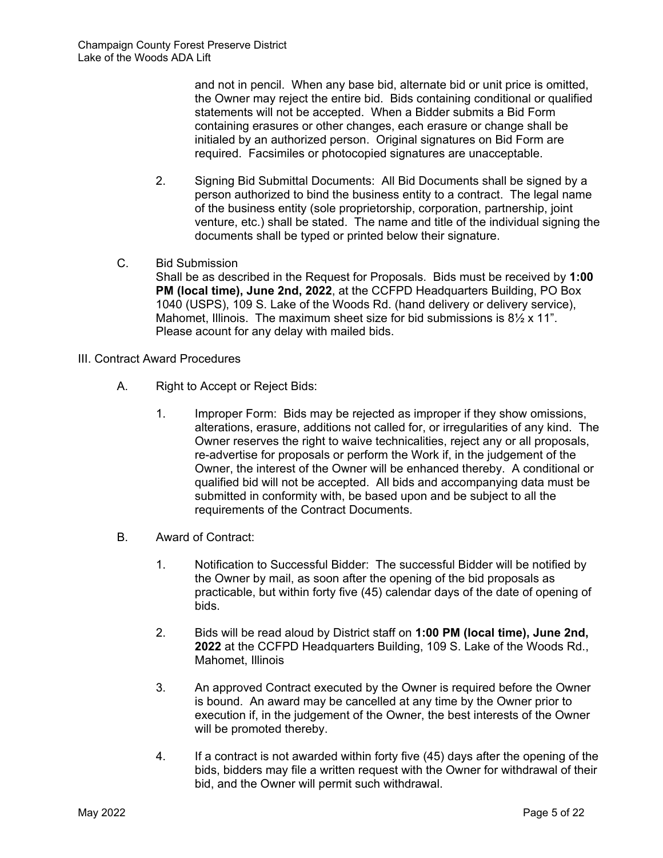and not in pencil. When any base bid, alternate bid or unit price is omitted, the Owner may reject the entire bid. Bids containing conditional or qualified statements will not be accepted. When a Bidder submits a Bid Form containing erasures or other changes, each erasure or change shall be initialed by an authorized person. Original signatures on Bid Form are required. Facsimiles or photocopied signatures are unacceptable.

- 2. Signing Bid Submittal Documents: All Bid Documents shall be signed by a person authorized to bind the business entity to a contract. The legal name of the business entity (sole proprietorship, corporation, partnership, joint venture, etc.) shall be stated. The name and title of the individual signing the documents shall be typed or printed below their signature.
- C. Bid Submission

Shall be as described in the Request for Proposals. Bids must be received by **1:00 PM (local time), June 2nd, 2022**, at the CCFPD Headquarters Building, PO Box 1040 (USPS), 109 S. Lake of the Woods Rd. (hand delivery or delivery service), Mahomet, Illinois. The maximum sheet size for bid submissions is 8<sup>1/2</sup> x 11<sup>"</sup>. Please acount for any delay with mailed bids.

- III. Contract Award Procedures
	- A. Right to Accept or Reject Bids:
		- 1. Improper Form: Bids may be rejected as improper if they show omissions, alterations, erasure, additions not called for, or irregularities of any kind. The Owner reserves the right to waive technicalities, reject any or all proposals, re-advertise for proposals or perform the Work if, in the judgement of the Owner, the interest of the Owner will be enhanced thereby. A conditional or qualified bid will not be accepted. All bids and accompanying data must be submitted in conformity with, be based upon and be subject to all the requirements of the Contract Documents.
	- B. Award of Contract:
		- 1. Notification to Successful Bidder: The successful Bidder will be notified by the Owner by mail, as soon after the opening of the bid proposals as practicable, but within forty five (45) calendar days of the date of opening of bids.
		- 2. Bids will be read aloud by District staff on **1:00 PM (local time), June 2nd, 2022** at the CCFPD Headquarters Building, 109 S. Lake of the Woods Rd., Mahomet, Illinois
		- 3. An approved Contract executed by the Owner is required before the Owner is bound. An award may be cancelled at any time by the Owner prior to execution if, in the judgement of the Owner, the best interests of the Owner will be promoted thereby.
		- 4. If a contract is not awarded within forty five (45) days after the opening of the bids, bidders may file a written request with the Owner for withdrawal of their bid, and the Owner will permit such withdrawal.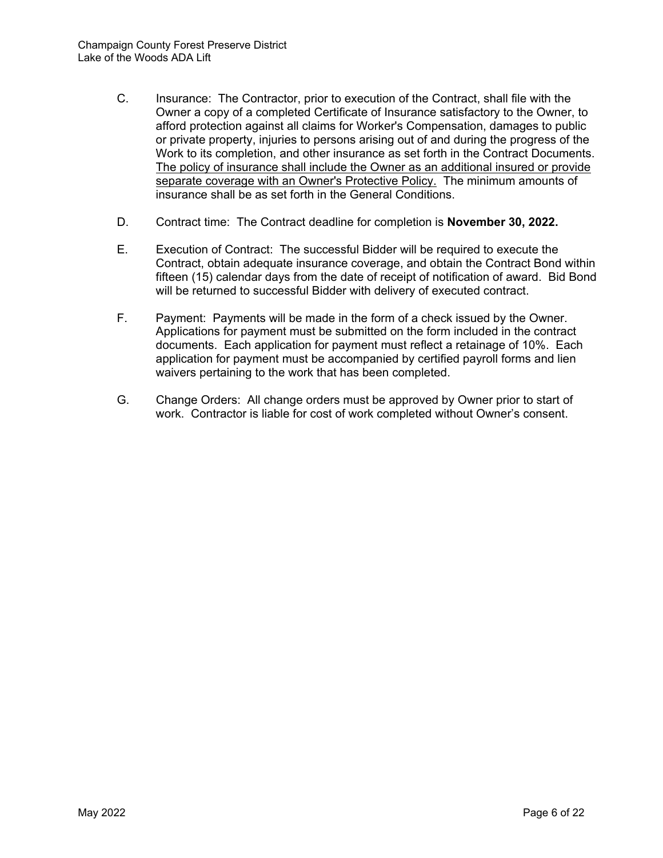- C. Insurance: The Contractor, prior to execution of the Contract, shall file with the Owner a copy of a completed Certificate of Insurance satisfactory to the Owner, to afford protection against all claims for Worker's Compensation, damages to public or private property, injuries to persons arising out of and during the progress of the Work to its completion, and other insurance as set forth in the Contract Documents. The policy of insurance shall include the Owner as an additional insured or provide separate coverage with an Owner's Protective Policy. The minimum amounts of insurance shall be as set forth in the General Conditions.
- D. Contract time: The Contract deadline for completion is **November 30, 2022.**
- E. Execution of Contract: The successful Bidder will be required to execute the Contract, obtain adequate insurance coverage, and obtain the Contract Bond within fifteen (15) calendar days from the date of receipt of notification of award. Bid Bond will be returned to successful Bidder with delivery of executed contract.
- F. Payment: Payments will be made in the form of a check issued by the Owner. Applications for payment must be submitted on the form included in the contract documents. Each application for payment must reflect a retainage of 10%. Each application for payment must be accompanied by certified payroll forms and lien waivers pertaining to the work that has been completed.
- G. Change Orders: All change orders must be approved by Owner prior to start of work. Contractor is liable for cost of work completed without Owner's consent.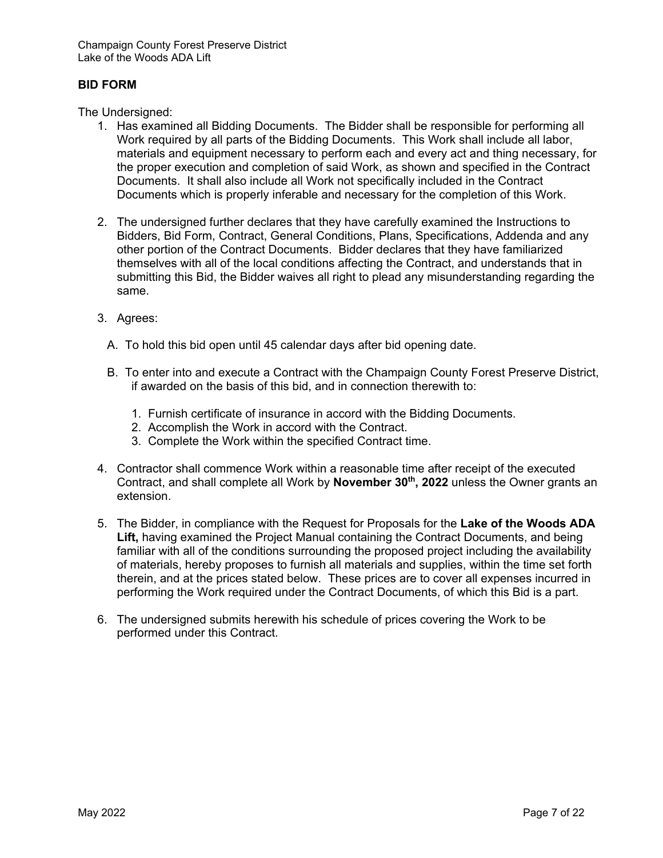#### **BID FORM**

The Undersigned:

- 1. Has examined all Bidding Documents. The Bidder shall be responsible for performing all Work required by all parts of the Bidding Documents. This Work shall include all labor, materials and equipment necessary to perform each and every act and thing necessary, for the proper execution and completion of said Work, as shown and specified in the Contract Documents. It shall also include all Work not specifically included in the Contract Documents which is properly inferable and necessary for the completion of this Work.
- 2. The undersigned further declares that they have carefully examined the Instructions to Bidders, Bid Form, Contract, General Conditions, Plans, Specifications, Addenda and any other portion of the Contract Documents. Bidder declares that they have familiarized themselves with all of the local conditions affecting the Contract, and understands that in submitting this Bid, the Bidder waives all right to plead any misunderstanding regarding the same.
- 3. Agrees:
	- A. To hold this bid open until 45 calendar days after bid opening date.
	- B. To enter into and execute a Contract with the Champaign County Forest Preserve District, if awarded on the basis of this bid, and in connection therewith to:
		- 1. Furnish certificate of insurance in accord with the Bidding Documents.
		- 2. Accomplish the Work in accord with the Contract.
		- 3. Complete the Work within the specified Contract time.
- 4. Contractor shall commence Work within a reasonable time after receipt of the executed Contract, and shall complete all Work by **November 30th, 2022** unless the Owner grants an extension.
- 5. The Bidder, in compliance with the Request for Proposals for the **Lake of the Woods ADA Lift,** having examined the Project Manual containing the Contract Documents, and being familiar with all of the conditions surrounding the proposed project including the availability of materials, hereby proposes to furnish all materials and supplies, within the time set forth therein, and at the prices stated below. These prices are to cover all expenses incurred in performing the Work required under the Contract Documents, of which this Bid is a part.
- 6. The undersigned submits herewith his schedule of prices covering the Work to be performed under this Contract.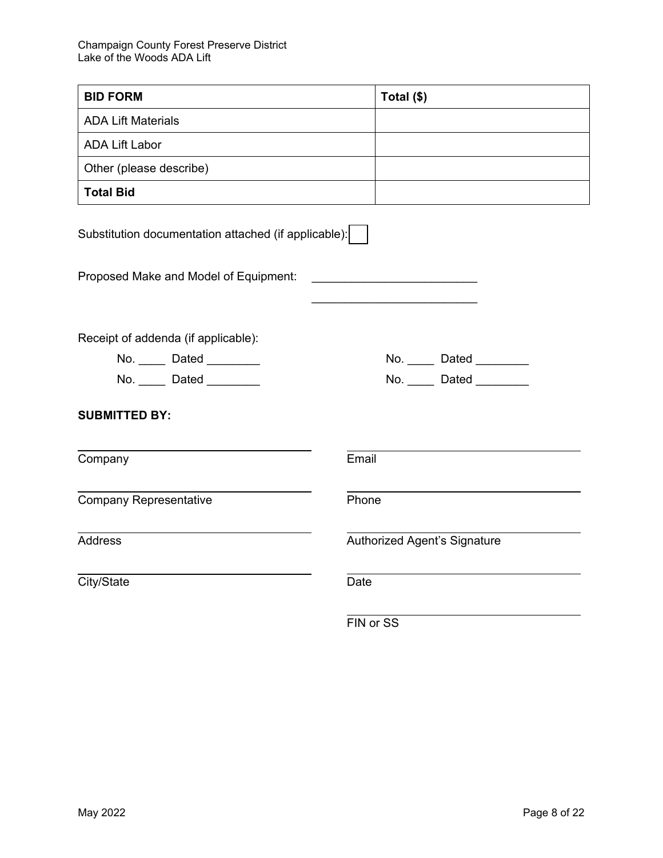| <b>BID FORM</b>                                      | Total (\$)                   |  |
|------------------------------------------------------|------------------------------|--|
| <b>ADA Lift Materials</b>                            |                              |  |
| <b>ADA Lift Labor</b>                                |                              |  |
| Other (please describe)                              |                              |  |
| <b>Total Bid</b>                                     |                              |  |
| Substitution documentation attached (if applicable): |                              |  |
| Proposed Make and Model of Equipment:                |                              |  |
|                                                      |                              |  |
| Receipt of addenda (if applicable):                  |                              |  |
| No. _____ Dated ________                             | No. Dated                    |  |
| No. Dated                                            | No. Dated Date               |  |
| <b>SUBMITTED BY:</b>                                 |                              |  |
| Company                                              | Email                        |  |
| <b>Company Representative</b>                        | Phone                        |  |
| <b>Address</b>                                       | Authorized Agent's Signature |  |
| City/State                                           | Date                         |  |
|                                                      | FIN or SS                    |  |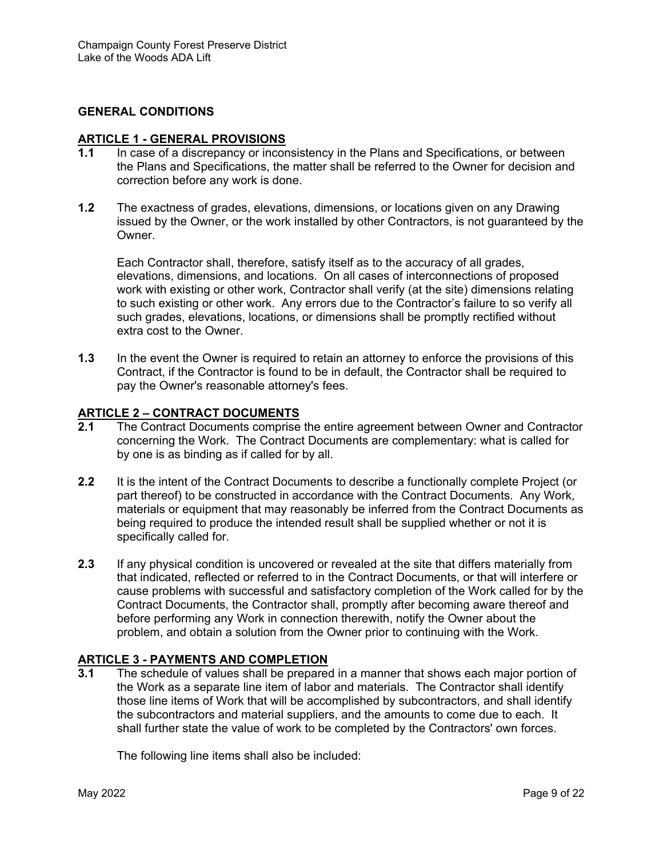#### **GENERAL CONDITIONS**

# **ARTICLE 1 - GENERAL PROVISIONS**<br>**1.1** In case of a discrepancy or incor

- In case of a discrepancy or inconsistency in the Plans and Specifications, or between the Plans and Specifications, the matter shall be referred to the Owner for decision and correction before any work is done.
- **1.2** The exactness of grades, elevations, dimensions, or locations given on any Drawing issued by the Owner, or the work installed by other Contractors, is not guaranteed by the Owner.

Each Contractor shall, therefore, satisfy itself as to the accuracy of all grades, elevations, dimensions, and locations. On all cases of interconnections of proposed work with existing or other work, Contractor shall verify (at the site) dimensions relating to such existing or other work. Any errors due to the Contractor's failure to so verify all such grades, elevations, locations, or dimensions shall be promptly rectified without extra cost to the Owner.

**1.3** In the event the Owner is required to retain an attorney to enforce the provisions of this Contract, if the Contractor is found to be in default, the Contractor shall be required to pay the Owner's reasonable attorney's fees.

#### **ARTICLE 2 – CONTRACT DOCUMENTS**

- **2.1** The Contract Documents comprise the entire agreement between Owner and Contractor concerning the Work. The Contract Documents are complementary: what is called for by one is as binding as if called for by all.
- **2.2** It is the intent of the Contract Documents to describe a functionally complete Project (or part thereof) to be constructed in accordance with the Contract Documents. Any Work, materials or equipment that may reasonably be inferred from the Contract Documents as being required to produce the intended result shall be supplied whether or not it is specifically called for.
- **2.3** If any physical condition is uncovered or revealed at the site that differs materially from that indicated, reflected or referred to in the Contract Documents, or that will interfere or cause problems with successful and satisfactory completion of the Work called for by the Contract Documents, the Contractor shall, promptly after becoming aware thereof and before performing any Work in connection therewith, notify the Owner about the problem, and obtain a solution from the Owner prior to continuing with the Work.

#### **ARTICLE 3 - PAYMENTS AND COMPLETION**

**3.1** The schedule of values shall be prepared in a manner that shows each major portion of the Work as a separate line item of labor and materials. The Contractor shall identify those line items of Work that will be accomplished by subcontractors, and shall identify the subcontractors and material suppliers, and the amounts to come due to each. It shall further state the value of work to be completed by the Contractors' own forces.

The following line items shall also be included: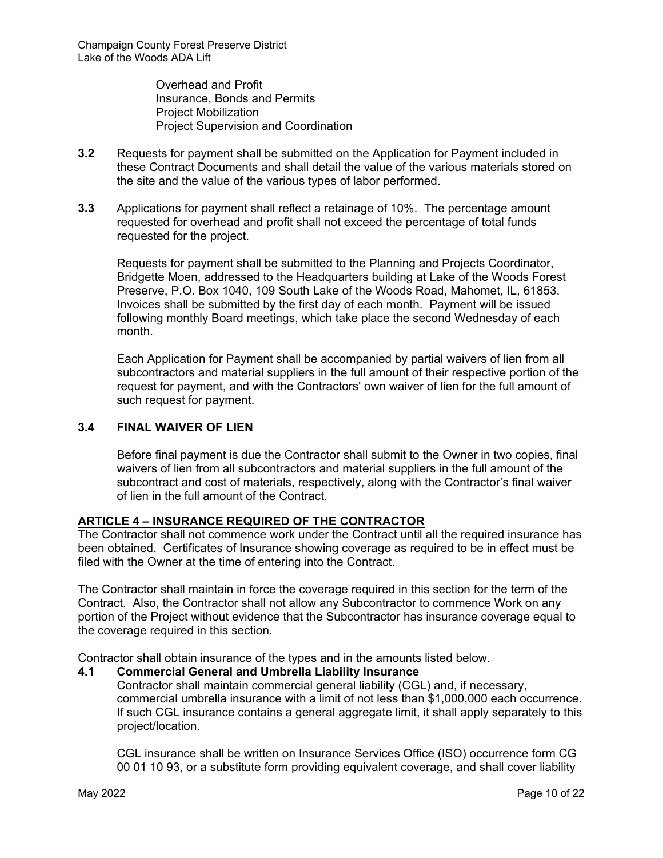Overhead and Profit Insurance, Bonds and Permits Project Mobilization Project Supervision and Coordination

- **3.2** Requests for payment shall be submitted on the Application for Payment included in these Contract Documents and shall detail the value of the various materials stored on the site and the value of the various types of labor performed.
- **3.3** Applications for payment shall reflect a retainage of 10%. The percentage amount requested for overhead and profit shall not exceed the percentage of total funds requested for the project.

Requests for payment shall be submitted to the Planning and Projects Coordinator, Bridgette Moen, addressed to the Headquarters building at Lake of the Woods Forest Preserve, P.O. Box 1040, 109 South Lake of the Woods Road, Mahomet, IL, 61853. Invoices shall be submitted by the first day of each month. Payment will be issued following monthly Board meetings, which take place the second Wednesday of each month.

Each Application for Payment shall be accompanied by partial waivers of lien from all subcontractors and material suppliers in the full amount of their respective portion of the request for payment, and with the Contractors' own waiver of lien for the full amount of such request for payment.

#### **3.4 FINAL WAIVER OF LIEN**

Before final payment is due the Contractor shall submit to the Owner in two copies, final waivers of lien from all subcontractors and material suppliers in the full amount of the subcontract and cost of materials, respectively, along with the Contractor's final waiver of lien in the full amount of the Contract.

#### **ARTICLE 4 – INSURANCE REQUIRED OF THE CONTRACTOR**

The Contractor shall not commence work under the Contract until all the required insurance has been obtained. Certificates of Insurance showing coverage as required to be in effect must be filed with the Owner at the time of entering into the Contract.

The Contractor shall maintain in force the coverage required in this section for the term of the Contract. Also, the Contractor shall not allow any Subcontractor to commence Work on any portion of the Project without evidence that the Subcontractor has insurance coverage equal to the coverage required in this section.

Contractor shall obtain insurance of the types and in the amounts listed below.

#### **4.1 Commercial General and Umbrella Liability Insurance**

Contractor shall maintain commercial general liability (CGL) and, if necessary, commercial umbrella insurance with a limit of not less than \$1,000,000 each occurrence. If such CGL insurance contains a general aggregate limit, it shall apply separately to this project/location.

CGL insurance shall be written on Insurance Services Office (ISO) occurrence form CG 00 01 10 93, or a substitute form providing equivalent coverage, and shall cover liability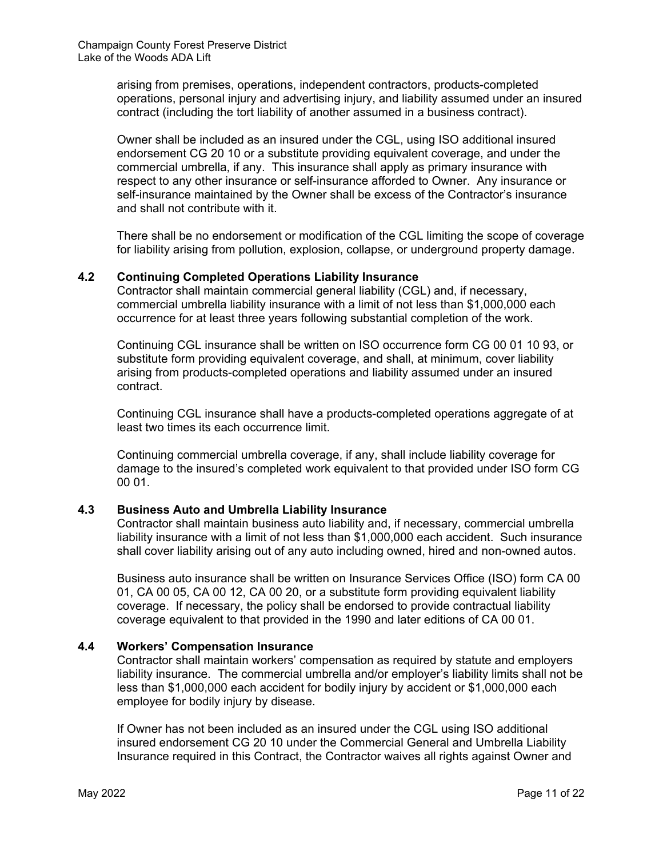arising from premises, operations, independent contractors, products-completed operations, personal injury and advertising injury, and liability assumed under an insured contract (including the tort liability of another assumed in a business contract).

Owner shall be included as an insured under the CGL, using ISO additional insured endorsement CG 20 10 or a substitute providing equivalent coverage, and under the commercial umbrella, if any. This insurance shall apply as primary insurance with respect to any other insurance or self-insurance afforded to Owner. Any insurance or self-insurance maintained by the Owner shall be excess of the Contractor's insurance and shall not contribute with it.

There shall be no endorsement or modification of the CGL limiting the scope of coverage for liability arising from pollution, explosion, collapse, or underground property damage.

#### **4.2 Continuing Completed Operations Liability Insurance**

Contractor shall maintain commercial general liability (CGL) and, if necessary, commercial umbrella liability insurance with a limit of not less than \$1,000,000 each occurrence for at least three years following substantial completion of the work.

Continuing CGL insurance shall be written on ISO occurrence form CG 00 01 10 93, or substitute form providing equivalent coverage, and shall, at minimum, cover liability arising from products-completed operations and liability assumed under an insured contract.

Continuing CGL insurance shall have a products-completed operations aggregate of at least two times its each occurrence limit.

Continuing commercial umbrella coverage, if any, shall include liability coverage for damage to the insured's completed work equivalent to that provided under ISO form CG 00 01.

#### **4.3 Business Auto and Umbrella Liability Insurance**

Contractor shall maintain business auto liability and, if necessary, commercial umbrella liability insurance with a limit of not less than \$1,000,000 each accident. Such insurance shall cover liability arising out of any auto including owned, hired and non-owned autos.

Business auto insurance shall be written on Insurance Services Office (ISO) form CA 00 01, CA 00 05, CA 00 12, CA 00 20, or a substitute form providing equivalent liability coverage. If necessary, the policy shall be endorsed to provide contractual liability coverage equivalent to that provided in the 1990 and later editions of CA 00 01.

#### **4.4 Workers' Compensation Insurance**

Contractor shall maintain workers' compensation as required by statute and employers liability insurance. The commercial umbrella and/or employer's liability limits shall not be less than \$1,000,000 each accident for bodily injury by accident or \$1,000,000 each employee for bodily injury by disease.

If Owner has not been included as an insured under the CGL using ISO additional insured endorsement CG 20 10 under the Commercial General and Umbrella Liability Insurance required in this Contract, the Contractor waives all rights against Owner and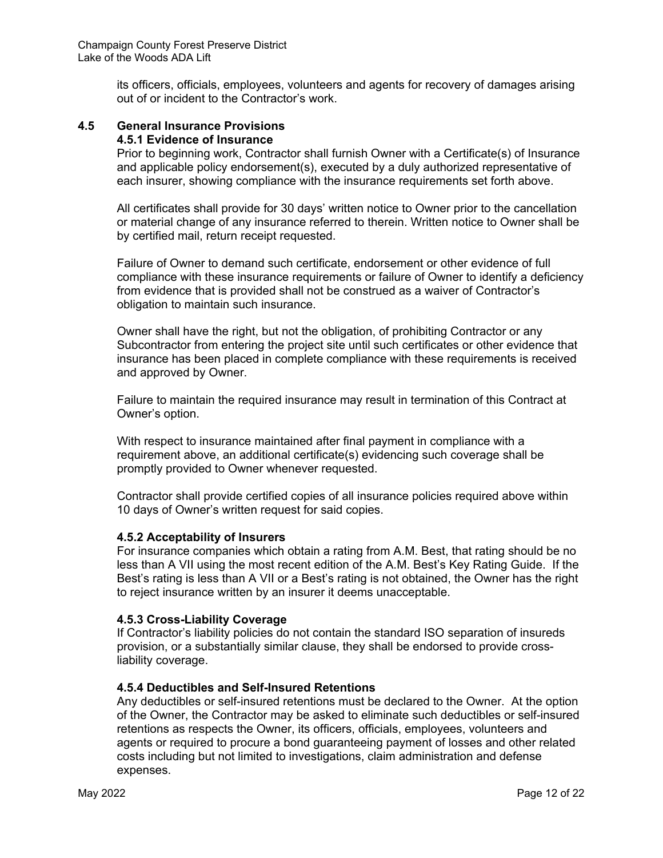its officers, officials, employees, volunteers and agents for recovery of damages arising out of or incident to the Contractor's work.

## **4.5 General Insurance Provisions**

### **4.5.1 Evidence of Insurance**

Prior to beginning work, Contractor shall furnish Owner with a Certificate(s) of Insurance and applicable policy endorsement(s), executed by a duly authorized representative of each insurer, showing compliance with the insurance requirements set forth above.

All certificates shall provide for 30 days' written notice to Owner prior to the cancellation or material change of any insurance referred to therein. Written notice to Owner shall be by certified mail, return receipt requested.

Failure of Owner to demand such certificate, endorsement or other evidence of full compliance with these insurance requirements or failure of Owner to identify a deficiency from evidence that is provided shall not be construed as a waiver of Contractor's obligation to maintain such insurance.

Owner shall have the right, but not the obligation, of prohibiting Contractor or any Subcontractor from entering the project site until such certificates or other evidence that insurance has been placed in complete compliance with these requirements is received and approved by Owner.

Failure to maintain the required insurance may result in termination of this Contract at Owner's option.

With respect to insurance maintained after final payment in compliance with a requirement above, an additional certificate(s) evidencing such coverage shall be promptly provided to Owner whenever requested.

Contractor shall provide certified copies of all insurance policies required above within 10 days of Owner's written request for said copies.

#### **4.5.2 Acceptability of Insurers**

For insurance companies which obtain a rating from A.M. Best, that rating should be no less than A VII using the most recent edition of the A.M. Best's Key Rating Guide. If the Best's rating is less than A VII or a Best's rating is not obtained, the Owner has the right to reject insurance written by an insurer it deems unacceptable.

#### **4.5.3 Cross-Liability Coverage**

If Contractor's liability policies do not contain the standard ISO separation of insureds provision, or a substantially similar clause, they shall be endorsed to provide crossliability coverage.

#### **4.5.4 Deductibles and Self-Insured Retentions**

Any deductibles or self-insured retentions must be declared to the Owner. At the option of the Owner, the Contractor may be asked to eliminate such deductibles or self-insured retentions as respects the Owner, its officers, officials, employees, volunteers and agents or required to procure a bond guaranteeing payment of losses and other related costs including but not limited to investigations, claim administration and defense expenses.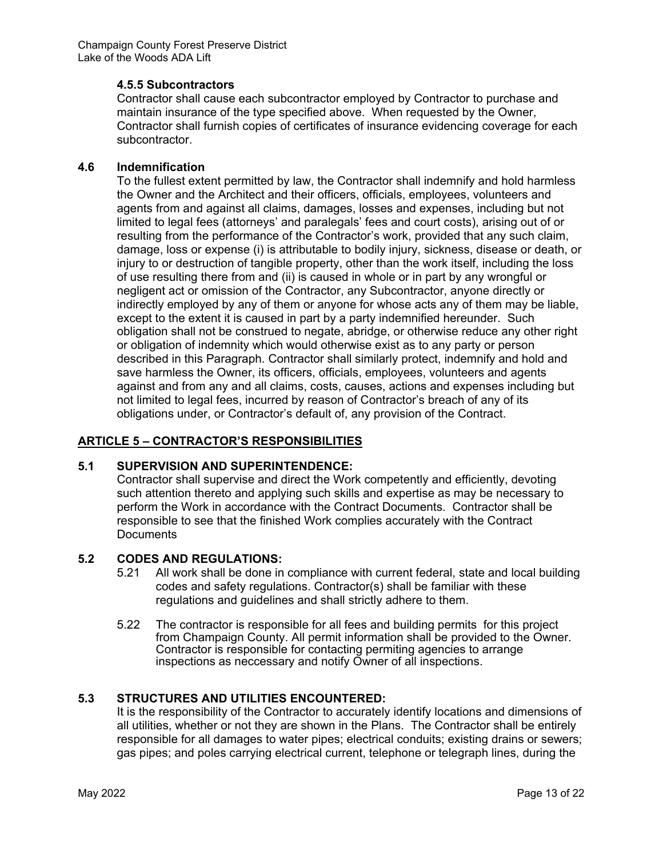#### **4.5.5 Subcontractors**

Contractor shall cause each subcontractor employed by Contractor to purchase and maintain insurance of the type specified above. When requested by the Owner, Contractor shall furnish copies of certificates of insurance evidencing coverage for each subcontractor.

#### **4.6 Indemnification**

To the fullest extent permitted by law, the Contractor shall indemnify and hold harmless the Owner and the Architect and their officers, officials, employees, volunteers and agents from and against all claims, damages, losses and expenses, including but not limited to legal fees (attorneys' and paralegals' fees and court costs), arising out of or resulting from the performance of the Contractor's work, provided that any such claim, damage, loss or expense (i) is attributable to bodily injury, sickness, disease or death, or injury to or destruction of tangible property, other than the work itself, including the loss of use resulting there from and (ii) is caused in whole or in part by any wrongful or negligent act or omission of the Contractor, any Subcontractor, anyone directly or indirectly employed by any of them or anyone for whose acts any of them may be liable, except to the extent it is caused in part by a party indemnified hereunder. Such obligation shall not be construed to negate, abridge, or otherwise reduce any other right or obligation of indemnity which would otherwise exist as to any party or person described in this Paragraph. Contractor shall similarly protect, indemnify and hold and save harmless the Owner, its officers, officials, employees, volunteers and agents against and from any and all claims, costs, causes, actions and expenses including but not limited to legal fees, incurred by reason of Contractor's breach of any of its obligations under, or Contractor's default of, any provision of the Contract.

#### **ARTICLE 5 – CONTRACTOR'S RESPONSIBILITIES**

#### **5.1 SUPERVISION AND SUPERINTENDENCE:**

Contractor shall supervise and direct the Work competently and efficiently, devoting such attention thereto and applying such skills and expertise as may be necessary to perform the Work in accordance with the Contract Documents. Contractor shall be responsible to see that the finished Work complies accurately with the Contract **Documents** 

#### **5.2 CODES AND REGULATIONS:**

- 5.21 All work shall be done in compliance with current federal, state and local building codes and safety regulations. Contractor(s) shall be familiar with these regulations and guidelines and shall strictly adhere to them.
- 5.22 The contractor is responsible for all fees and building permits for this project from Champaign County. All permit information shall be provided to the Owner. Contractor is responsible for contacting permiting agencies to arrange inspections as neccessary and notify Owner of all inspections.

#### **5.3 STRUCTURES AND UTILITIES ENCOUNTERED:**

It is the responsibility of the Contractor to accurately identify locations and dimensions of all utilities, whether or not they are shown in the Plans. The Contractor shall be entirely responsible for all damages to water pipes; electrical conduits; existing drains or sewers; gas pipes; and poles carrying electrical current, telephone or telegraph lines, during the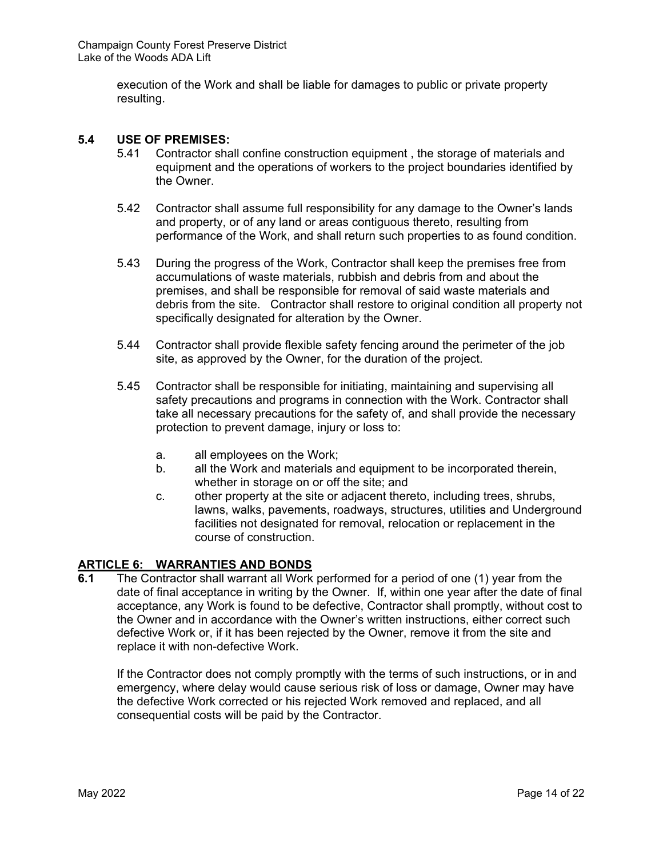execution of the Work and shall be liable for damages to public or private property resulting.

#### **5.4 USE OF PREMISES:**

- 5.41 Contractor shall confine construction equipment , the storage of materials and equipment and the operations of workers to the project boundaries identified by the Owner.
- 5.42 Contractor shall assume full responsibility for any damage to the Owner's lands and property, or of any land or areas contiguous thereto, resulting from performance of the Work, and shall return such properties to as found condition.
- 5.43 During the progress of the Work, Contractor shall keep the premises free from accumulations of waste materials, rubbish and debris from and about the premises, and shall be responsible for removal of said waste materials and debris from the site. Contractor shall restore to original condition all property not specifically designated for alteration by the Owner.
- 5.44 Contractor shall provide flexible safety fencing around the perimeter of the job site, as approved by the Owner, for the duration of the project.
- 5.45 Contractor shall be responsible for initiating, maintaining and supervising all safety precautions and programs in connection with the Work. Contractor shall take all necessary precautions for the safety of, and shall provide the necessary protection to prevent damage, injury or loss to:
	- a. all employees on the Work;
	- b. all the Work and materials and equipment to be incorporated therein, whether in storage on or off the site; and
	- c. other property at the site or adjacent thereto, including trees, shrubs, lawns, walks, pavements, roadways, structures, utilities and Underground facilities not designated for removal, relocation or replacement in the course of construction.

#### **ARTICLE 6: WARRANTIES AND BONDS**

**6.1** The Contractor shall warrant all Work performed for a period of one (1) year from the date of final acceptance in writing by the Owner. If, within one year after the date of final acceptance, any Work is found to be defective, Contractor shall promptly, without cost to the Owner and in accordance with the Owner's written instructions, either correct such defective Work or, if it has been rejected by the Owner, remove it from the site and replace it with non-defective Work.

 If the Contractor does not comply promptly with the terms of such instructions, or in and emergency, where delay would cause serious risk of loss or damage, Owner may have the defective Work corrected or his rejected Work removed and replaced, and all consequential costs will be paid by the Contractor.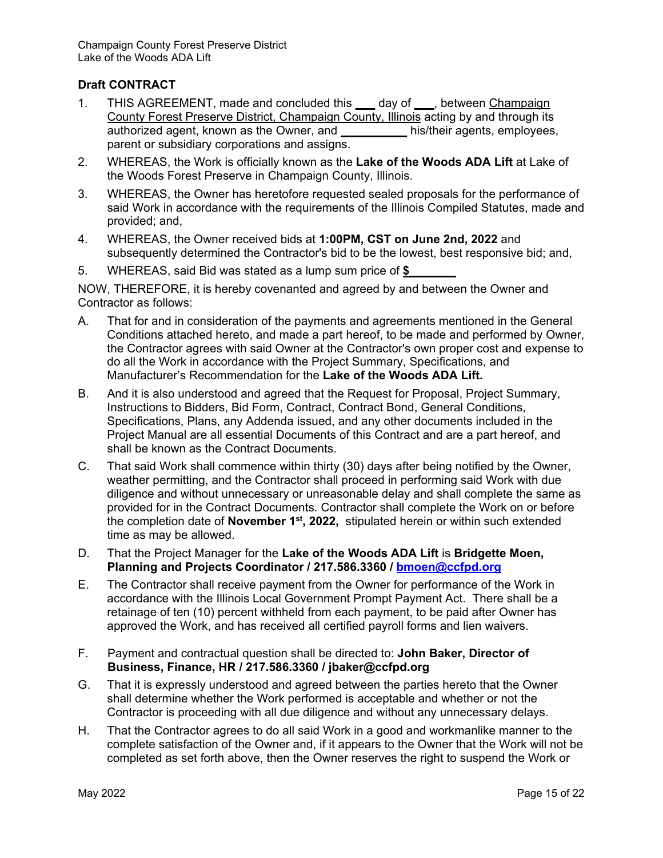#### **Draft CONTRACT**

- 1. THIS AGREEMENT, made and concluded this **\_\_\_** day of **\_\_\_**, between Champaign County Forest Preserve District, Champaign County, Illinois acting by and through its authorized agent, known as the Owner, and **\_\_\_\_\_\_\_\_\_\_** his/their agents, employees, parent or subsidiary corporations and assigns.
- 2. WHEREAS, the Work is officially known as the **Lake of the Woods ADA Lift** at Lake of the Woods Forest Preserve in Champaign County, Illinois.
- 3. WHEREAS, the Owner has heretofore requested sealed proposals for the performance of said Work in accordance with the requirements of the Illinois Compiled Statutes, made and provided; and,
- 4. WHEREAS, the Owner received bids at **1:00PM, CST on June 2nd, 2022** and subsequently determined the Contractor's bid to be the lowest, best responsive bid; and,
- 5. WHEREAS, said Bid was stated as a lump sum price of **\$\_\_\_\_\_\_\_**

NOW, THEREFORE, it is hereby covenanted and agreed by and between the Owner and Contractor as follows:

- A. That for and in consideration of the payments and agreements mentioned in the General Conditions attached hereto, and made a part hereof, to be made and performed by Owner, the Contractor agrees with said Owner at the Contractor's own proper cost and expense to do all the Work in accordance with the Project Summary, Specifications, and Manufacturer's Recommendation for the **Lake of the Woods ADA Lift.**
- B. And it is also understood and agreed that the Request for Proposal, Project Summary, Instructions to Bidders, Bid Form, Contract, Contract Bond, General Conditions, Specifications, Plans, any Addenda issued, and any other documents included in the Project Manual are all essential Documents of this Contract and are a part hereof, and shall be known as the Contract Documents.
- C. That said Work shall commence within thirty (30) days after being notified by the Owner, weather permitting, and the Contractor shall proceed in performing said Work with due diligence and without unnecessary or unreasonable delay and shall complete the same as provided for in the Contract Documents. Contractor shall complete the Work on or before the completion date of **November 1st, 2022,** stipulated herein or within such extended time as may be allowed.
- D. That the Project Manager for the **Lake of the Woods ADA Lift** is **Bridgette Moen, Planning and Projects Coordinator / 217.586.3360 / bmoen@ccfpd.org**
- E. The Contractor shall receive payment from the Owner for performance of the Work in accordance with the Illinois Local Government Prompt Payment Act. There shall be a retainage of ten (10) percent withheld from each payment, to be paid after Owner has approved the Work, and has received all certified payroll forms and lien waivers.
- F. Payment and contractual question shall be directed to: **John Baker, Director of Business, Finance, HR / 217.586.3360 / jbaker@ccfpd.org**
- G. That it is expressly understood and agreed between the parties hereto that the Owner shall determine whether the Work performed is acceptable and whether or not the Contractor is proceeding with all due diligence and without any unnecessary delays.
- H. That the Contractor agrees to do all said Work in a good and workmanlike manner to the complete satisfaction of the Owner and, if it appears to the Owner that the Work will not be completed as set forth above, then the Owner reserves the right to suspend the Work or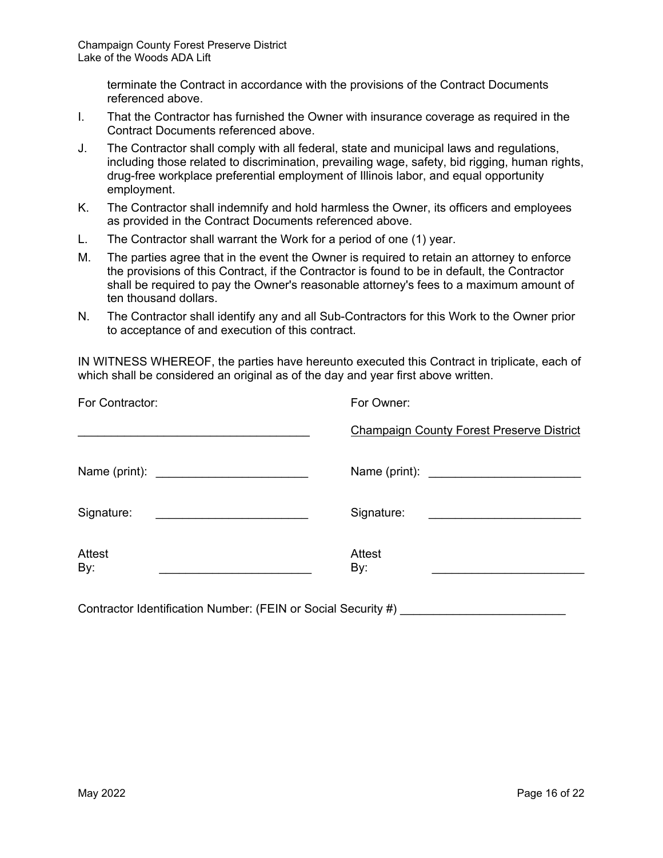terminate the Contract in accordance with the provisions of the Contract Documents referenced above.

- I. That the Contractor has furnished the Owner with insurance coverage as required in the Contract Documents referenced above.
- J. The Contractor shall comply with all federal, state and municipal laws and regulations, including those related to discrimination, prevailing wage, safety, bid rigging, human rights, drug-free workplace preferential employment of Illinois labor, and equal opportunity employment.
- K. The Contractor shall indemnify and hold harmless the Owner, its officers and employees as provided in the Contract Documents referenced above.
- L. The Contractor shall warrant the Work for a period of one (1) year.
- M. The parties agree that in the event the Owner is required to retain an attorney to enforce the provisions of this Contract, if the Contractor is found to be in default, the Contractor shall be required to pay the Owner's reasonable attorney's fees to a maximum amount of ten thousand dollars.
- N. The Contractor shall identify any and all Sub-Contractors for this Work to the Owner prior to acceptance of and execution of this contract.

IN WITNESS WHEREOF, the parties have hereunto executed this Contract in triplicate, each of which shall be considered an original as of the day and year first above written.

| For Contractor:                                            | For Owner:                                                                                                                         |
|------------------------------------------------------------|------------------------------------------------------------------------------------------------------------------------------------|
|                                                            | <b>Champaign County Forest Preserve District</b>                                                                                   |
|                                                            |                                                                                                                                    |
| Signature:<br><u> 1989 - Andrea Andrew Maria (b. 1989)</u> | Signature:<br><u> 1989 - Andrea Britain, politik eta politik eta politik eta politik eta politik eta politik eta politik eta p</u> |
| Attest<br>By:                                              | <b>Attest</b><br>By:                                                                                                               |

Contractor Identification Number: (FEIN or Social Security  $#$ )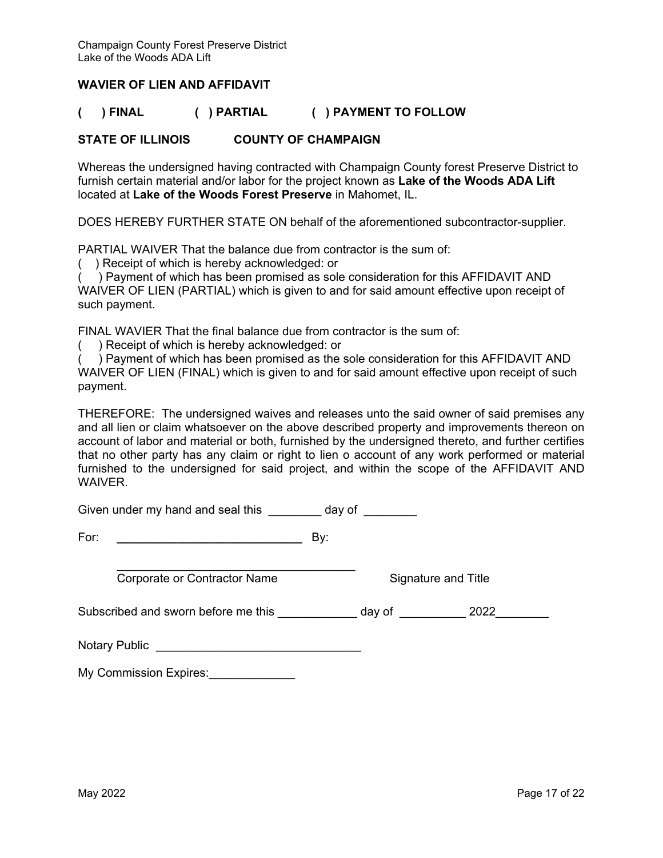#### **WAVIER OF LIEN AND AFFIDAVIT**

#### **( ) FINAL ( ) PARTIAL ( ) PAYMENT TO FOLLOW**

#### **STATE OF ILLINOIS COUNTY OF CHAMPAIGN**

Whereas the undersigned having contracted with Champaign County forest Preserve District to furnish certain material and/or labor for the project known as **Lake of the Woods ADA Lift** located at **Lake of the Woods Forest Preserve** in Mahomet, IL.

DOES HEREBY FURTHER STATE ON behalf of the aforementioned subcontractor-supplier.

PARTIAL WAIVER That the balance due from contractor is the sum of:

( ) Receipt of which is hereby acknowledged: or

( ) Payment of which has been promised as sole consideration for this AFFIDAVIT AND WAIVER OF LIEN (PARTIAL) which is given to and for said amount effective upon receipt of such payment.

FINAL WAVIER That the final balance due from contractor is the sum of:

) Receipt of which is hereby acknowledged: or

( ) Payment of which has been promised as the sole consideration for this AFFIDAVIT AND WAIVER OF LIEN (FINAL) which is given to and for said amount effective upon receipt of such payment.

THEREFORE: The undersigned waives and releases unto the said owner of said premises any and all lien or claim whatsoever on the above described property and improvements thereon on account of labor and material or both, furnished by the undersigned thereto, and further certifies that no other party has any claim or right to lien o account of any work performed or material furnished to the undersigned for said project, and within the scope of the AFFIDAVIT AND WAIVER.

Given under my hand and seal this \_\_\_\_\_\_\_\_ day of \_\_\_\_\_\_\_

 $\mathcal{L}_\text{max}$  , and the set of the set of the set of the set of the set of the set of the set of the set of the set of the set of the set of the set of the set of the set of the set of the set of the set of the set of the Corporate or Contractor Name Signature and Title

Subscribed and sworn before me this \_\_\_\_\_\_\_\_\_\_\_\_ day of \_\_\_\_\_\_\_\_\_ 2022\_\_\_\_\_\_\_\_

Notary Public **Example 20** and 20 and 20 and 20 and 20 and 20 and 20 and 20 and 20 and 20 and 20 and 20 and 20 and 20 and 20 and 20 and 20 and 20 and 20 and 20 and 20 and 20 and 20 and 20 and 20 and 20 and 20 and 20 and 20

My Commission Expires: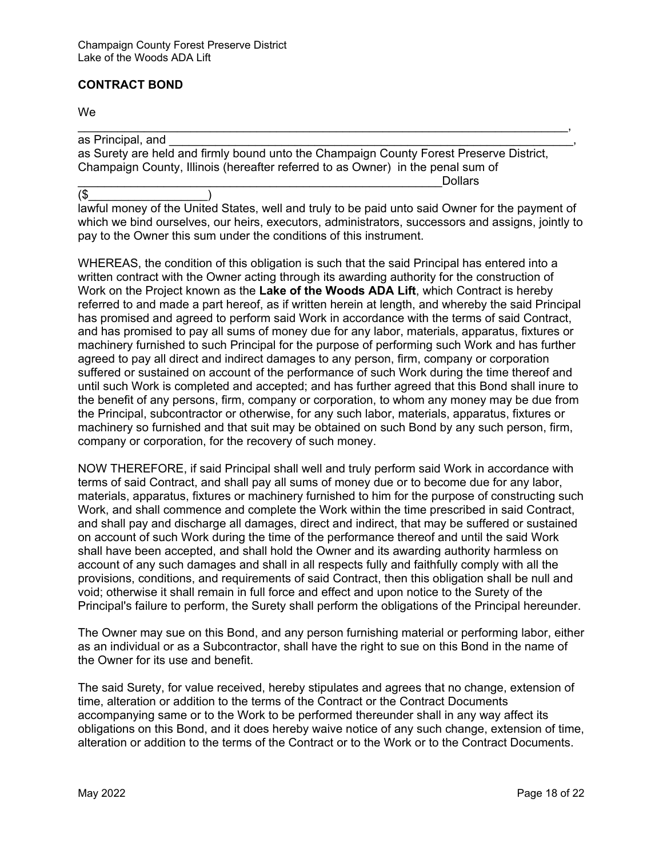#### **CONTRACT BOND**

#### We

as Principal, and as Surety are held and firmly bound unto the Champaign County Forest Preserve District, Champaign County, Illinois (hereafter referred to as Owner) in the penal sum of \_\_\_\_\_\_\_\_\_\_\_\_\_\_\_\_\_\_\_\_\_\_\_\_\_\_\_\_\_\_\_\_\_\_\_\_\_\_\_\_\_\_\_\_\_\_\_\_\_\_\_\_\_\_\_Dollars

 $\blacksquare$ 

 $(\$$ lawful money of the United States, well and truly to be paid unto said Owner for the payment of which we bind ourselves, our heirs, executors, administrators, successors and assigns, jointly to pay to the Owner this sum under the conditions of this instrument.

WHEREAS, the condition of this obligation is such that the said Principal has entered into a written contract with the Owner acting through its awarding authority for the construction of Work on the Project known as the **Lake of the Woods ADA Lift**, which Contract is hereby referred to and made a part hereof, as if written herein at length, and whereby the said Principal has promised and agreed to perform said Work in accordance with the terms of said Contract, and has promised to pay all sums of money due for any labor, materials, apparatus, fixtures or machinery furnished to such Principal for the purpose of performing such Work and has further agreed to pay all direct and indirect damages to any person, firm, company or corporation suffered or sustained on account of the performance of such Work during the time thereof and until such Work is completed and accepted; and has further agreed that this Bond shall inure to the benefit of any persons, firm, company or corporation, to whom any money may be due from the Principal, subcontractor or otherwise, for any such labor, materials, apparatus, fixtures or machinery so furnished and that suit may be obtained on such Bond by any such person, firm, company or corporation, for the recovery of such money.

NOW THEREFORE, if said Principal shall well and truly perform said Work in accordance with terms of said Contract, and shall pay all sums of money due or to become due for any labor, materials, apparatus, fixtures or machinery furnished to him for the purpose of constructing such Work, and shall commence and complete the Work within the time prescribed in said Contract, and shall pay and discharge all damages, direct and indirect, that may be suffered or sustained on account of such Work during the time of the performance thereof and until the said Work shall have been accepted, and shall hold the Owner and its awarding authority harmless on account of any such damages and shall in all respects fully and faithfully comply with all the provisions, conditions, and requirements of said Contract, then this obligation shall be null and void; otherwise it shall remain in full force and effect and upon notice to the Surety of the Principal's failure to perform, the Surety shall perform the obligations of the Principal hereunder.

The Owner may sue on this Bond, and any person furnishing material or performing labor, either as an individual or as a Subcontractor, shall have the right to sue on this Bond in the name of the Owner for its use and benefit.

The said Surety, for value received, hereby stipulates and agrees that no change, extension of time, alteration or addition to the terms of the Contract or the Contract Documents accompanying same or to the Work to be performed thereunder shall in any way affect its obligations on this Bond, and it does hereby waive notice of any such change, extension of time, alteration or addition to the terms of the Contract or to the Work or to the Contract Documents.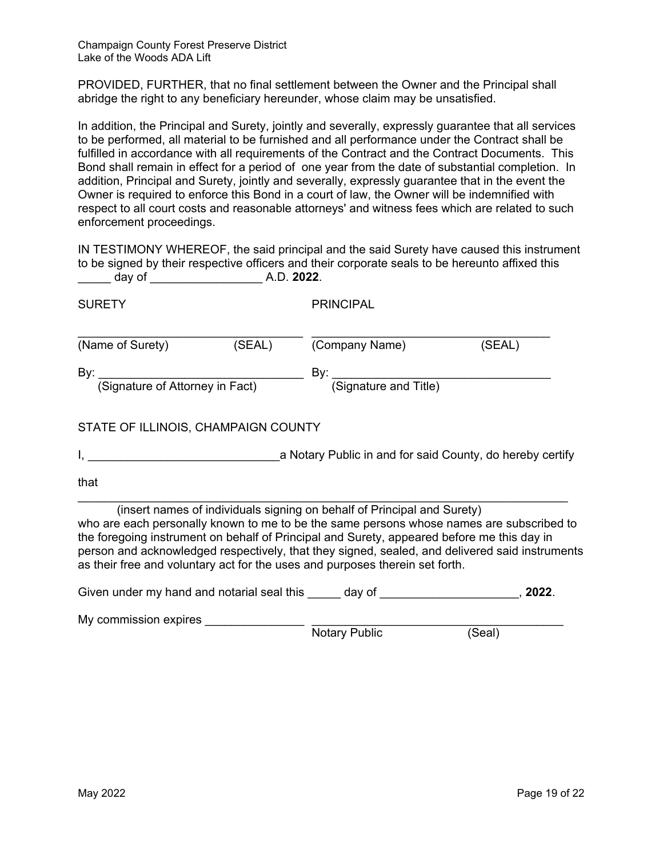PROVIDED, FURTHER, that no final settlement between the Owner and the Principal shall abridge the right to any beneficiary hereunder, whose claim may be unsatisfied.

In addition, the Principal and Surety, jointly and severally, expressly guarantee that all services to be performed, all material to be furnished and all performance under the Contract shall be fulfilled in accordance with all requirements of the Contract and the Contract Documents. This Bond shall remain in effect for a period of one year from the date of substantial completion. In addition, Principal and Surety, jointly and severally, expressly guarantee that in the event the Owner is required to enforce this Bond in a court of law, the Owner will be indemnified with respect to all court costs and reasonable attorneys' and witness fees which are related to such enforcement proceedings.

IN TESTIMONY WHEREOF, the said principal and the said Surety have caused this instrument to be signed by their respective officers and their corporate seals to be hereunto affixed this \_\_\_\_\_ day of \_\_\_\_\_\_\_\_\_\_\_\_\_\_\_\_\_ A.D. **2022**.

| <b>SURETY</b>                       |        | <b>PRINCIPAL</b>                                                                                                                                                                                                                                                                                                                                                                                                                                    |         |
|-------------------------------------|--------|-----------------------------------------------------------------------------------------------------------------------------------------------------------------------------------------------------------------------------------------------------------------------------------------------------------------------------------------------------------------------------------------------------------------------------------------------------|---------|
| (Name of Surety)                    | (SEAL) | (Company Name)                                                                                                                                                                                                                                                                                                                                                                                                                                      | (SEAL)  |
|                                     |        | By: <u>(Signature of Attorney in Fact)</u> By: <u>(Signature and Title)</u>                                                                                                                                                                                                                                                                                                                                                                         |         |
| STATE OF ILLINOIS, CHAMPAIGN COUNTY |        |                                                                                                                                                                                                                                                                                                                                                                                                                                                     |         |
|                                     |        |                                                                                                                                                                                                                                                                                                                                                                                                                                                     |         |
| that                                |        |                                                                                                                                                                                                                                                                                                                                                                                                                                                     |         |
|                                     |        | (insert names of individuals signing on behalf of Principal and Surety)<br>who are each personally known to me to be the same persons whose names are subscribed to<br>the foregoing instrument on behalf of Principal and Surety, appeared before me this day in<br>person and acknowledged respectively, that they signed, sealed, and delivered said instruments<br>as their free and voluntary act for the uses and purposes therein set forth. |         |
|                                     |        |                                                                                                                                                                                                                                                                                                                                                                                                                                                     | , 2022. |

My commission expires \_\_\_\_\_\_\_\_\_\_\_\_\_\_\_ \_\_\_\_\_\_\_\_\_\_\_\_\_\_\_\_\_\_\_\_\_\_\_\_\_\_\_\_\_\_\_\_\_\_\_\_\_\_

Notary Public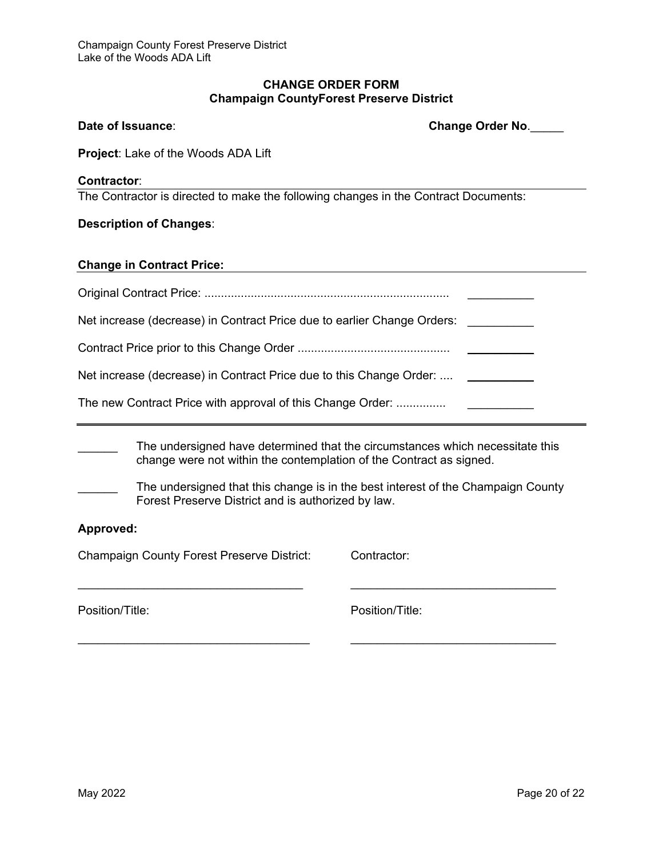#### **CHANGE ORDER FORM Champaign CountyForest Preserve District**

**Date of Issuance**: **Change Order No**.\_\_\_\_\_

| <b>Project:</b> Lake of the Woods ADA Lift                                                                                                           |                 |  |  |
|------------------------------------------------------------------------------------------------------------------------------------------------------|-----------------|--|--|
| <b>Contractor:</b>                                                                                                                                   |                 |  |  |
| The Contractor is directed to make the following changes in the Contract Documents:                                                                  |                 |  |  |
| <b>Description of Changes:</b>                                                                                                                       |                 |  |  |
| <b>Change in Contract Price:</b>                                                                                                                     |                 |  |  |
|                                                                                                                                                      |                 |  |  |
| Net increase (decrease) in Contract Price due to earlier Change Orders:                                                                              |                 |  |  |
|                                                                                                                                                      |                 |  |  |
| Net increase (decrease) in Contract Price due to this Change Order:                                                                                  |                 |  |  |
| The new Contract Price with approval of this Change Order:                                                                                           |                 |  |  |
| The undersigned have determined that the circumstances which necessitate this<br>change were not within the contemplation of the Contract as signed. |                 |  |  |
| The undersigned that this change is in the best interest of the Champaign County<br>Forest Preserve District and is authorized by law.               |                 |  |  |
| Approved:                                                                                                                                            |                 |  |  |
| <b>Champaign County Forest Preserve District:</b>                                                                                                    | Contractor:     |  |  |
| Position/Title:                                                                                                                                      | Position/Title: |  |  |

\_\_\_\_\_\_\_\_\_\_\_\_\_\_\_\_\_\_\_\_\_\_\_\_\_\_\_\_\_\_\_\_\_\_\_ \_\_\_\_\_\_\_\_\_\_\_\_\_\_\_\_\_\_\_\_\_\_\_\_\_\_\_\_\_\_\_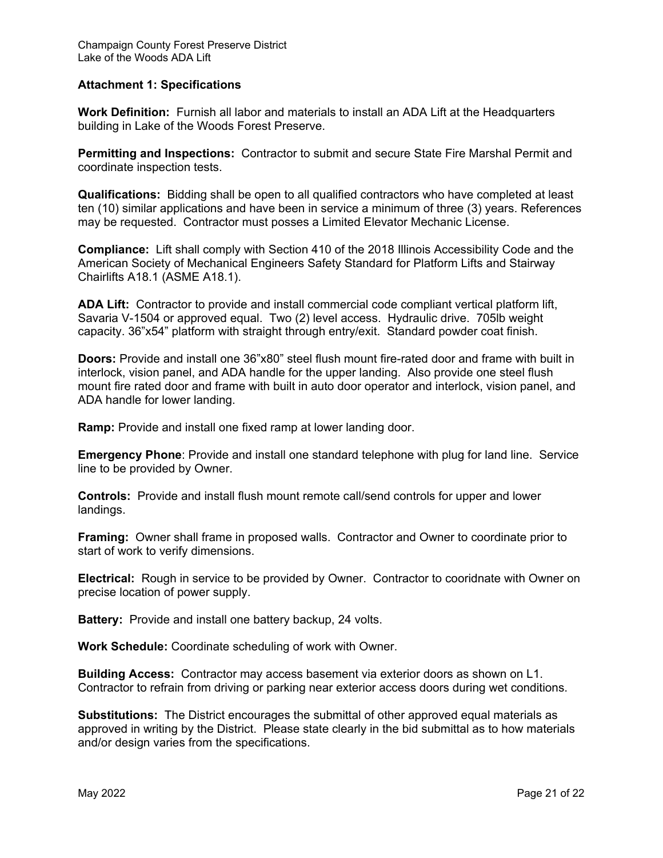#### **Attachment 1: Specifications**

**Work Definition:** Furnish all labor and materials to install an ADA Lift at the Headquarters building in Lake of the Woods Forest Preserve.

**Permitting and Inspections:** Contractor to submit and secure State Fire Marshal Permit and coordinate inspection tests.

**Qualifications:** Bidding shall be open to all qualified contractors who have completed at least ten (10) similar applications and have been in service a minimum of three (3) years. References may be requested. Contractor must posses a Limited Elevator Mechanic License.

**Compliance:** Lift shall comply with Section 410 of the 2018 Illinois Accessibility Code and the American Society of Mechanical Engineers Safety Standard for Platform Lifts and Stairway Chairlifts A18.1 (ASME A18.1).

**ADA Lift:** Contractor to provide and install commercial code compliant vertical platform lift, Savaria V-1504 or approved equal. Two (2) level access. Hydraulic drive. 705lb weight capacity. 36"x54" platform with straight through entry/exit. Standard powder coat finish.

**Doors:** Provide and install one 36"x80" steel flush mount fire-rated door and frame with built in interlock, vision panel, and ADA handle for the upper landing. Also provide one steel flush mount fire rated door and frame with built in auto door operator and interlock, vision panel, and ADA handle for lower landing.

**Ramp:** Provide and install one fixed ramp at lower landing door.

**Emergency Phone**: Provide and install one standard telephone with plug for land line. Service line to be provided by Owner.

**Controls:** Provide and install flush mount remote call/send controls for upper and lower landings.

**Framing:** Owner shall frame in proposed walls. Contractor and Owner to coordinate prior to start of work to verify dimensions.

**Electrical:** Rough in service to be provided by Owner. Contractor to cooridnate with Owner on precise location of power supply.

**Battery:** Provide and install one battery backup, 24 volts.

**Work Schedule:** Coordinate scheduling of work with Owner.

**Building Access:** Contractor may access basement via exterior doors as shown on L1. Contractor to refrain from driving or parking near exterior access doors during wet conditions.

**Substitutions:** The District encourages the submittal of other approved equal materials as approved in writing by the District. Please state clearly in the bid submittal as to how materials and/or design varies from the specifications.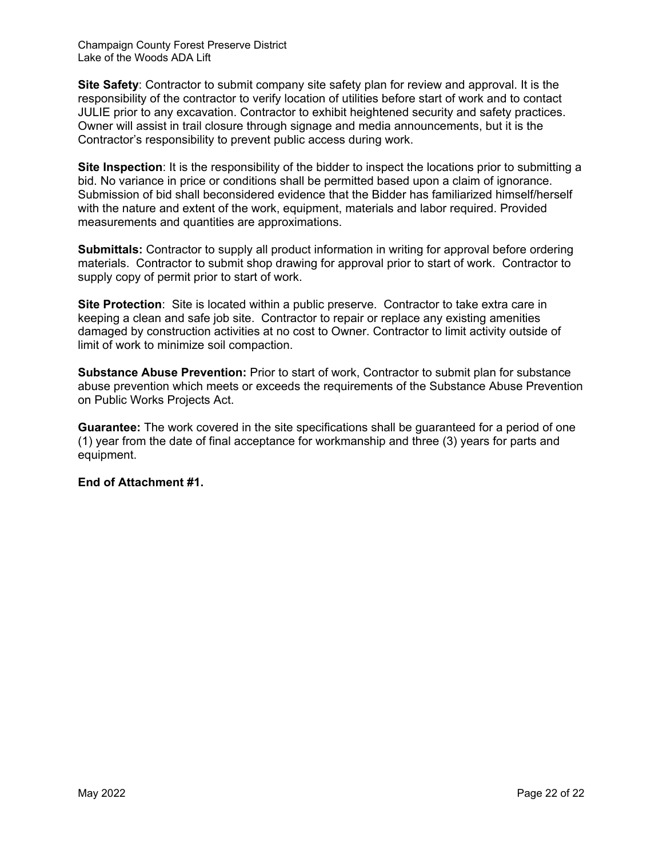**Site Safety**: Contractor to submit company site safety plan for review and approval. It is the responsibility of the contractor to verify location of utilities before start of work and to contact JULIE prior to any excavation. Contractor to exhibit heightened security and safety practices. Owner will assist in trail closure through signage and media announcements, but it is the Contractor's responsibility to prevent public access during work.

**Site Inspection**: It is the responsibility of the bidder to inspect the locations prior to submitting a bid. No variance in price or conditions shall be permitted based upon a claim of ignorance. Submission of bid shall beconsidered evidence that the Bidder has familiarized himself/herself with the nature and extent of the work, equipment, materials and labor required. Provided measurements and quantities are approximations.

**Submittals:** Contractor to supply all product information in writing for approval before ordering materials. Contractor to submit shop drawing for approval prior to start of work. Contractor to supply copy of permit prior to start of work.

**Site Protection:** Site is located within a public preserve. Contractor to take extra care in keeping a clean and safe job site. Contractor to repair or replace any existing amenities damaged by construction activities at no cost to Owner. Contractor to limit activity outside of limit of work to minimize soil compaction.

**Substance Abuse Prevention:** Prior to start of work, Contractor to submit plan for substance abuse prevention which meets or exceeds the requirements of the Substance Abuse Prevention on Public Works Projects Act.

**Guarantee:** The work covered in the site specifications shall be guaranteed for a period of one (1) year from the date of final acceptance for workmanship and three (3) years for parts and equipment.

**End of Attachment #1.**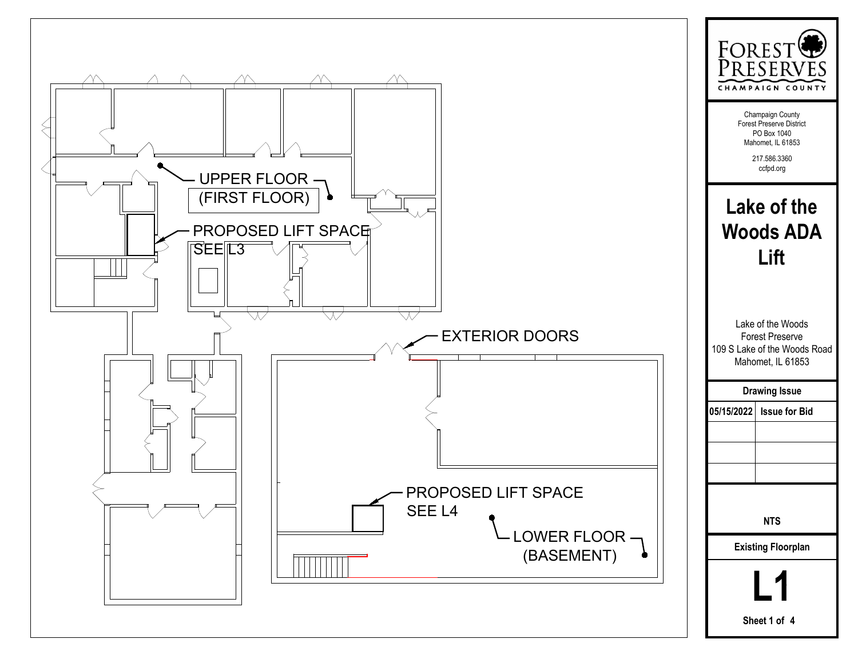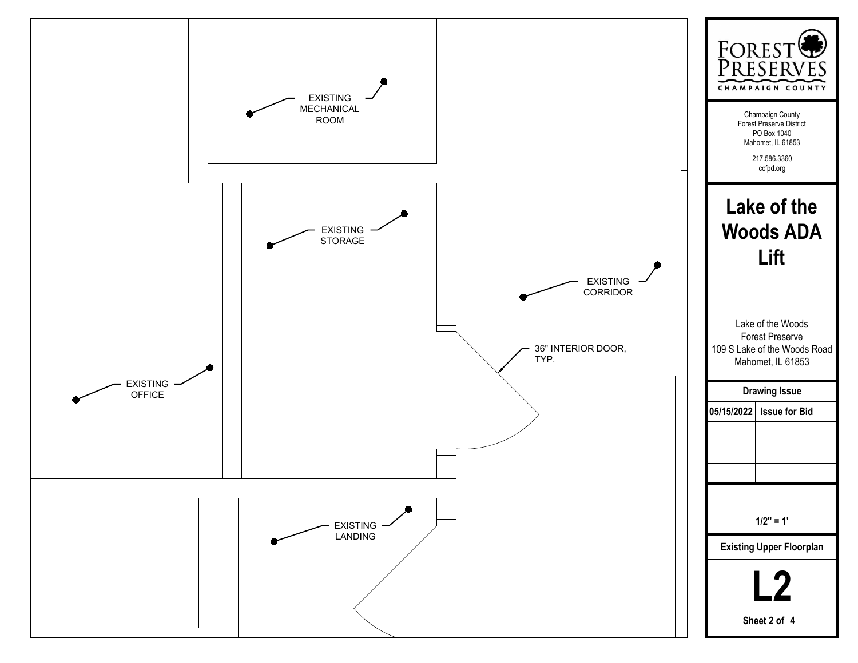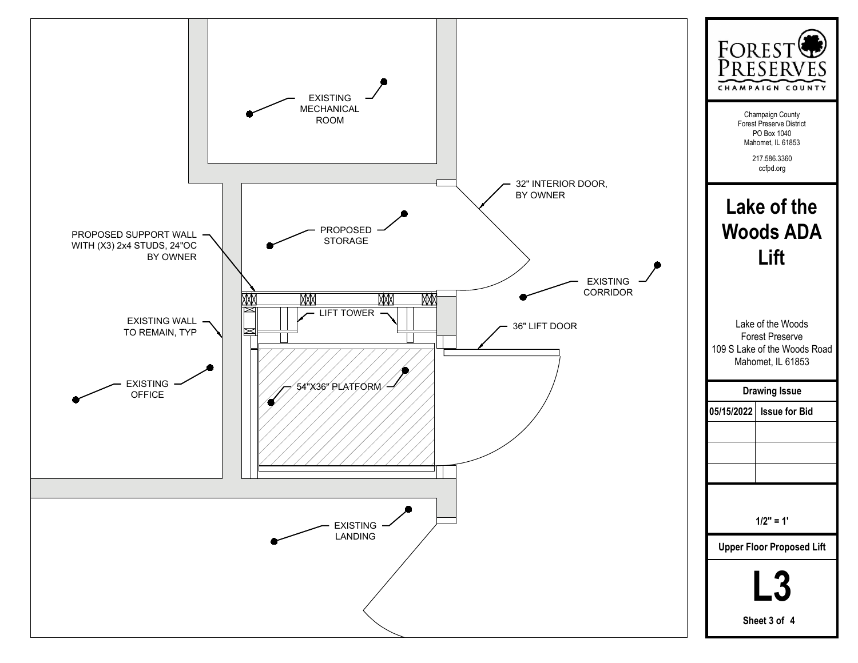